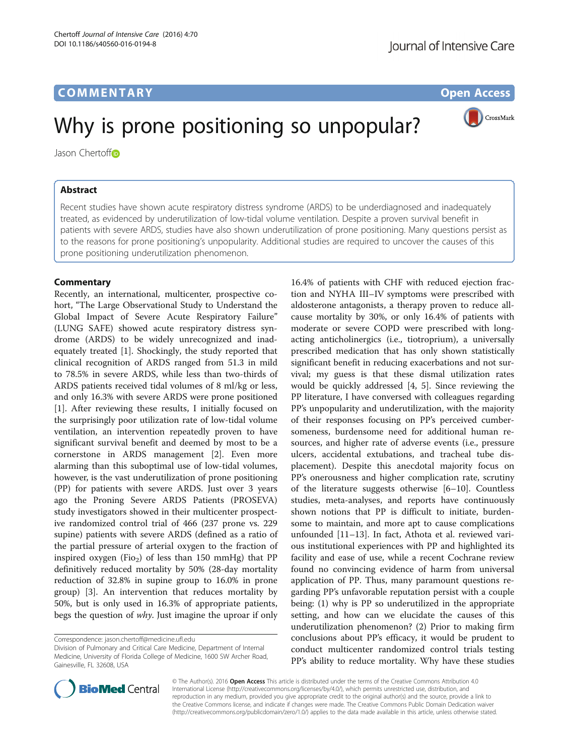# COMM EN TARY Open Access

# Why is prone positioning so unpopular?

Jason Chertoff<sup>®</sup>

### Abstract

Recent studies have shown acute respiratory distress syndrome (ARDS) to be underdiagnosed and inadequately treated, as evidenced by underutilization of low-tidal volume ventilation. Despite a proven survival benefit in patients with severe ARDS, studies have also shown underutilization of prone positioning. Many questions persist as to the reasons for prone positioning's unpopularity. Additional studies are required to uncover the causes of this prone positioning underutilization phenomenon.

#### **Commentary**

Recently, an international, multicenter, prospective cohort, "The Large Observational Study to Understand the Global Impact of Severe Acute Respiratory Failure" (LUNG SAFE) showed acute respiratory distress syndrome (ARDS) to be widely unrecognized and inadequately treated [[1](#page-1-0)]. Shockingly, the study reported that clinical recognition of ARDS ranged from 51.3 in mild to 78.5% in severe ARDS, while less than two-thirds of ARDS patients received tidal volumes of 8 ml/kg or less, and only 16.3% with severe ARDS were prone positioned [[1\]](#page-1-0). After reviewing these results, I initially focused on the surprisingly poor utilization rate of low-tidal volume ventilation, an intervention repeatedly proven to have significant survival benefit and deemed by most to be a cornerstone in ARDS management [\[2](#page-1-0)]. Even more alarming than this suboptimal use of low-tidal volumes, however, is the vast underutilization of prone positioning (PP) for patients with severe ARDS. Just over 3 years ago the Proning Severe ARDS Patients (PROSEVA) study investigators showed in their multicenter prospective randomized control trial of 466 (237 prone vs. 229 supine) patients with severe ARDS (defined as a ratio of the partial pressure of arterial oxygen to the fraction of inspired oxygen (Fio<sub>2</sub>) of less than 150 mmHg) that PP definitively reduced mortality by 50% (28-day mortality reduction of 32.8% in supine group to 16.0% in prone group) [\[3](#page-1-0)]. An intervention that reduces mortality by 50%, but is only used in 16.3% of appropriate patients, begs the question of why. Just imagine the uproar if only

16.4% of patients with CHF with reduced ejection fraction and NYHA III–IV symptoms were prescribed with aldosterone antagonists, a therapy proven to reduce allcause mortality by 30%, or only 16.4% of patients with moderate or severe COPD were prescribed with longacting anticholinergics (i.e., tiotroprium), a universally prescribed medication that has only shown statistically significant benefit in reducing exacerbations and not survival; my guess is that these dismal utilization rates would be quickly addressed [[4, 5](#page-1-0)]. Since reviewing the PP literature, I have conversed with colleagues regarding PP's unpopularity and underutilization, with the majority of their responses focusing on PP's perceived cumbersomeness, burdensome need for additional human resources, and higher rate of adverse events (i.e., pressure ulcers, accidental extubations, and tracheal tube displacement). Despite this anecdotal majority focus on PP's onerousness and higher complication rate, scrutiny of the literature suggests otherwise [[6](#page-1-0)–[10\]](#page-1-0). Countless studies, meta-analyses, and reports have continuously shown notions that PP is difficult to initiate, burdensome to maintain, and more apt to cause complications unfounded [[11](#page-1-0)–[13](#page-1-0)]. In fact, Athota et al. reviewed various institutional experiences with PP and highlighted its facility and ease of use, while a recent Cochrane review found no convincing evidence of harm from universal application of PP. Thus, many paramount questions regarding PP's unfavorable reputation persist with a couple being: (1) why is PP so underutilized in the appropriate setting, and how can we elucidate the causes of this underutilization phenomenon? (2) Prior to making firm conclusions about PP's efficacy, it would be prudent to conduct multicenter randomized control trials testing

PP's ability to reduce mortality. Why have these studies



© The Author(s). 2016 Open Access This article is distributed under the terms of the Creative Commons Attribution 4.0 International License [\(http://creativecommons.org/licenses/by/4.0/](http://creativecommons.org/licenses/by/4.0/)), which permits unrestricted use, distribution, and reproduction in any medium, provided you give appropriate credit to the original author(s) and the source, provide a link to the Creative Commons license, and indicate if changes were made. The Creative Commons Public Domain Dedication waiver [\(http://creativecommons.org/publicdomain/zero/1.0/](http://creativecommons.org/publicdomain/zero/1.0/)) applies to the data made available in this article, unless otherwise stated.



Correspondence: [jason.chertoff@medicine.ufl.edu](mailto:jason.chertoff@medicine.ufl.edu)

Division of Pulmonary and Critical Care Medicine, Department of Internal Medicine, University of Florida College of Medicine, 1600 SW Archer Road, Gainesville, FL 32608, USA